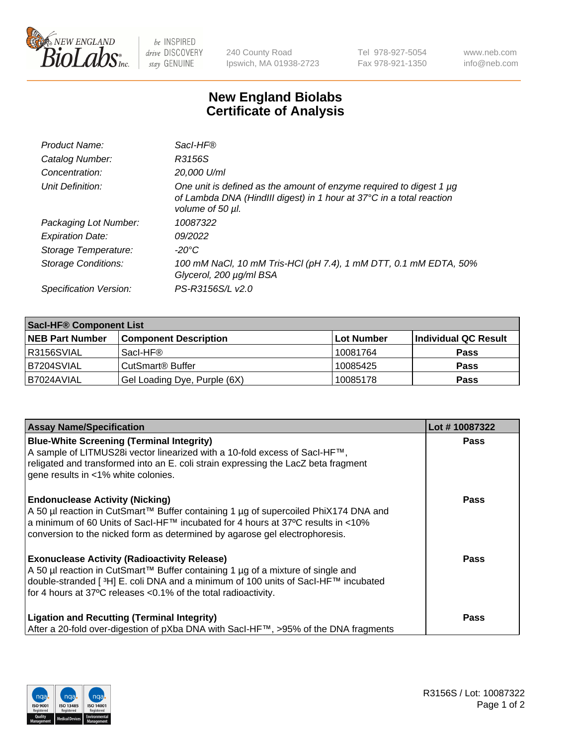

 $be$  INSPIRED drive DISCOVERY stay GENUINE

240 County Road Ipswich, MA 01938-2723 Tel 978-927-5054 Fax 978-921-1350 www.neb.com info@neb.com

## **New England Biolabs Certificate of Analysis**

| Product Name:              | Sacl-HF®                                                                                                                                                        |
|----------------------------|-----------------------------------------------------------------------------------------------------------------------------------------------------------------|
| Catalog Number:            | R3156S                                                                                                                                                          |
| Concentration:             | 20,000 U/ml                                                                                                                                                     |
| Unit Definition:           | One unit is defined as the amount of enzyme required to digest 1 µg<br>of Lambda DNA (HindIII digest) in 1 hour at 37°C in a total reaction<br>volume of 50 µl. |
| Packaging Lot Number:      | 10087322                                                                                                                                                        |
| <b>Expiration Date:</b>    | 09/2022                                                                                                                                                         |
| Storage Temperature:       | -20°C                                                                                                                                                           |
| <b>Storage Conditions:</b> | 100 mM NaCl, 10 mM Tris-HCl (pH 7.4), 1 mM DTT, 0.1 mM EDTA, 50%<br>Glycerol, 200 µg/ml BSA                                                                     |
| Specification Version:     | PS-R3156S/L v2.0                                                                                                                                                |

| <b>Saci-HF® Component List</b> |                              |            |                      |  |
|--------------------------------|------------------------------|------------|----------------------|--|
| <b>NEB Part Number</b>         | <b>Component Description</b> | Lot Number | Individual QC Result |  |
| I R3156SVIAL                   | Sacl-HF®                     | 10081764   | <b>Pass</b>          |  |
| B7204SVIAL                     | CutSmart <sup>®</sup> Buffer | 10085425   | <b>Pass</b>          |  |
| B7024AVIAL                     | Gel Loading Dye, Purple (6X) | 10085178   | <b>Pass</b>          |  |

| <b>Assay Name/Specification</b>                                                                                                                                                                                                                                                                            | Lot #10087322 |
|------------------------------------------------------------------------------------------------------------------------------------------------------------------------------------------------------------------------------------------------------------------------------------------------------------|---------------|
| <b>Blue-White Screening (Terminal Integrity)</b><br>A sample of LITMUS28i vector linearized with a 10-fold excess of SacI-HF™,<br>religated and transformed into an E. coli strain expressing the LacZ beta fragment<br>gene results in <1% white colonies.                                                | <b>Pass</b>   |
| <b>Endonuclease Activity (Nicking)</b><br>A 50 µl reaction in CutSmart™ Buffer containing 1 µg of supercoiled PhiX174 DNA and<br>a minimum of 60 Units of Sacl-HF™ incubated for 4 hours at 37°C results in <10%<br>conversion to the nicked form as determined by agarose gel electrophoresis.            | <b>Pass</b>   |
| <b>Exonuclease Activity (Radioactivity Release)</b><br>A 50 µl reaction in CutSmart™ Buffer containing 1 µg of a mixture of single and<br>double-stranded [ <sup>3</sup> H] E. coli DNA and a minimum of 100 units of Sacl-HF™ incubated<br>for 4 hours at 37°C releases <0.1% of the total radioactivity. | <b>Pass</b>   |
| <b>Ligation and Recutting (Terminal Integrity)</b><br>After a 20-fold over-digestion of pXba DNA with Sacl-HF™, >95% of the DNA fragments                                                                                                                                                                  | <b>Pass</b>   |